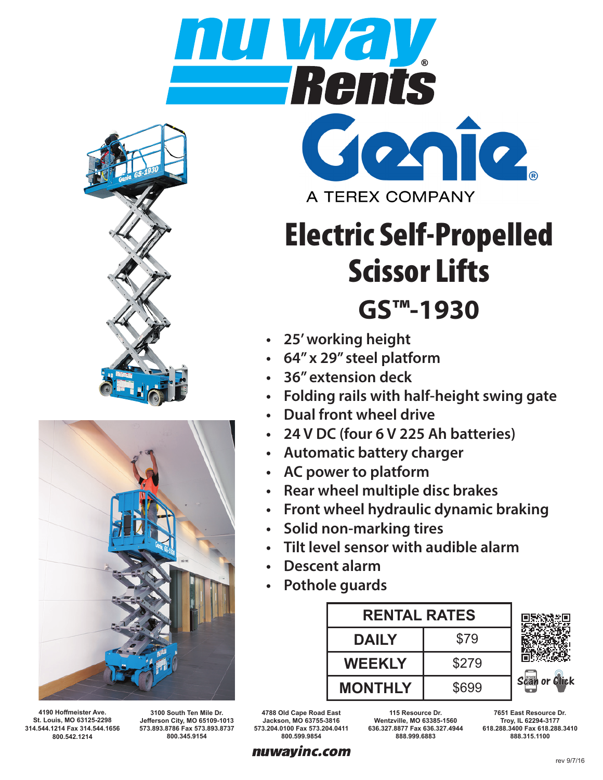



**4190 Hoffmeister Ave. St. Louis, MO 63125-2298 314.544.1214 Fax 314.544.1656 800.542.1214**

**3100 South Ten Mile Dr. Jefferson City, MO 65109-1013 573.893.8786 Fax 573.893.8737 800.345.9154**

**4788 Old Cape Road East Jackson, MO 63755-3816 573.204.0100 Fax 573.204.0411 800.599.9854**

**115 Resource Dr. Wentzville, MO 63385-1560 636.327.8877 Fax 636.327.4944 888.999.6883**

**7651 East Resource Dr. Troy, IL 62294-3177 618.288.3400 Fax 618.288.3410**



GOMO

- **• 25' working height**
- **• 64" x 29" steel platform**
- **• 36" extension deck**
- **• Folding rails with half-height swing gate**
- **• Dual front wheel drive**
- **• 24 V DC (four 6 V 225 Ah batteries)**
- **• Automatic battery charger**
- **• AC power to platform**
- **• Rear wheel multiple disc brakes**
- **• Front wheel hydraulic dynamic braking**
- **• Solid non-marking tires**
- **• Tilt level sensor with audible alarm**
- **• Descent alarm**
- **• Pothole guards**





**888.315.1100**

rev 9/7/16